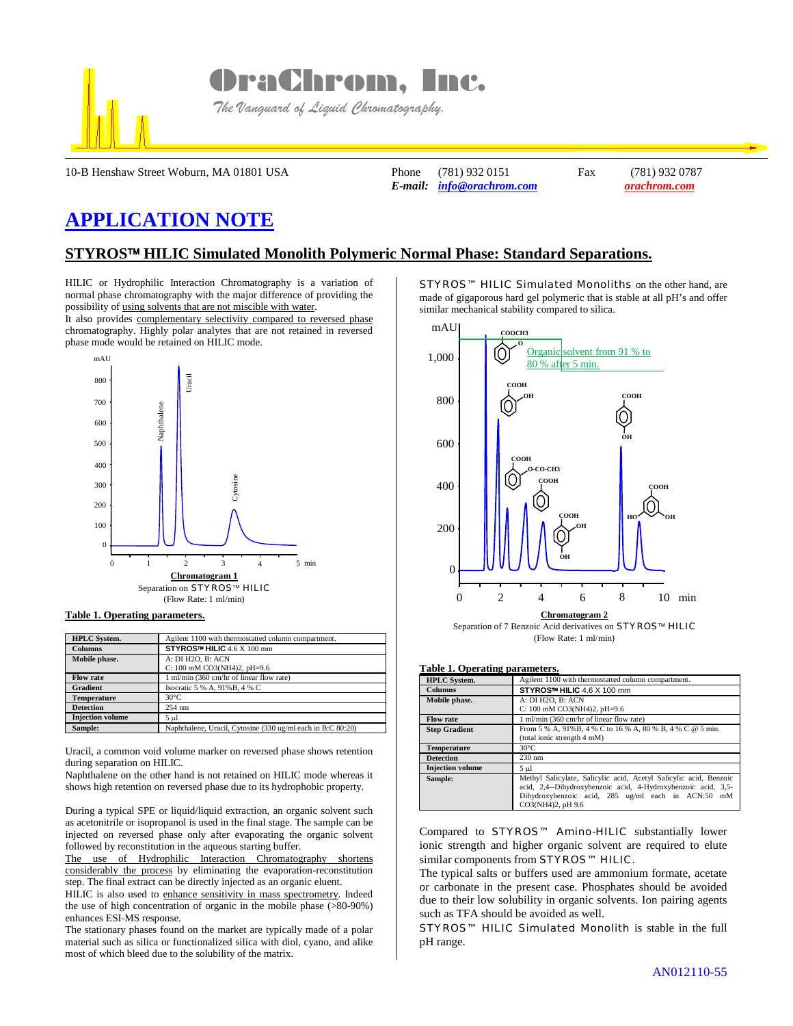

OraChrom, Inc.

 *The Vanguard of Liquid Chromatography.*

10-B Henshaw Street Woburn, MA 01801 USA Phone (781) 932 0151 Fax (781) 932 0787

*E-mail: [info@orachrom.com](mailto:info@orachrom.com) orachrom.com*

## **APPLICATION NOTE**

## **STYROS HILIC Simulated Monolith Polymeric Normal Phase: Standard Separations.**

HILIC or Hydrophilic Interaction Chromatography is a variation of normal phase chromatography with the major difference of providing the possibility of using solvents that are not miscible with water.

It also provides complementary selectivity compared to reversed phase chromatography. Highly polar analytes that are not retained in reversed phase mode would be retained on HILIC mode.



**Table 1. Operating parameters.**

| <b>HPLC</b> System.     | Agilent 1100 with thermostatted column compartment.         |
|-------------------------|-------------------------------------------------------------|
| <b>Columns</b>          | STYROS™ HILIC 4.6 X 100 mm                                  |
| Mobile phase.           | A: DI H2O, B: ACN<br>C: 100 mM CO3(NH4)2, pH=9.6            |
| <b>Flow rate</b>        | 1 ml/min (360 cm/hr of linear flow rate)                    |
| <b>Gradient</b>         | Isocratic 5 % A, 91% B, 4 % C                               |
| <b>Temperature</b>      | $30^{\circ}$ C                                              |
| <b>Detection</b>        | 254 nm                                                      |
| <b>Injection</b> volume | $5 \mu$ l                                                   |
| Sample:                 | Naphthalene, Uracil, Cytosine (330 ug/ml each in B:C 80:20) |

Uracil, a common void volume marker on reversed phase shows retention during separation on HILIC.

Naphthalene on the other hand is not retained on HILIC mode whereas it shows high retention on reversed phase due to its hydrophobic property.

During a typical SPE or liquid/liquid extraction, an organic solvent such as acetonitrile or isopropanol is used in the final stage. The sample can be injected on reversed phase only after evaporating the organic solvent followed by reconstitution in the aqueous starting buffer.

The use of Hydrophilic Interaction Chromatography shortens considerably the process by eliminating the evaporation-reconstitution step. The final extract can be directly injected as an organic eluent.

HILIC is also used to enhance sensitivity in mass spectrometry. Indeed the use of high concentration of organic in the mobile phase (>80-90%) enhances ESI-MS response.

The stationary phases found on the market are typically made of a polar material such as silica or functionalized silica with diol, cyano, and alike most of which bleed due to the solubility of the matrix.

STYROS™ HILIC Simulated Monoliths on the other hand, are made of gigaporous hard gel polymeric that is stable at all pH's and offer similar mechanical stability compared to silica.



## **Table 1. Operating parameters.**

| <b>HPLC</b> System.     | Agilent 1100 with thermostatted column compartment.                                                                                                                                                              |
|-------------------------|------------------------------------------------------------------------------------------------------------------------------------------------------------------------------------------------------------------|
| <b>Columns</b>          | STYROS™ HILIC 4.6 X 100 mm                                                                                                                                                                                       |
| Mobile phase.           | A: DI H2O, B: ACN                                                                                                                                                                                                |
|                         | C: 100 mM CO3(NH4)2, pH=9.6                                                                                                                                                                                      |
| <b>Flow rate</b>        | 1 ml/min (360 cm/hr of linear flow rate)                                                                                                                                                                         |
| <b>Step Gradient</b>    | From 5 % A, 91%B, 4 % C to 16 % A, 80 % B, 4 % C @ 5 min.                                                                                                                                                        |
|                         | (total ionic strength 4 mM)                                                                                                                                                                                      |
| Temperature             | $30^{\circ}$ C                                                                                                                                                                                                   |
| <b>Detection</b>        | $230$ nm                                                                                                                                                                                                         |
| <b>Injection volume</b> | $5 \mu$                                                                                                                                                                                                          |
| Sample:                 | Methyl Salicylate, Salicylic acid, Acetyl Salicylic acid, Benzoic<br>acid, 2,4--Dihydroxybenzoic acid, 4-Hydroxybenzoic acid, 3,5-<br>Dihydroxybenzoic acid, 285 ug/ml each in ACN:50<br>mM<br>CO3(NH4)2, pH 9.6 |

Compared to STYROS™ Amino-HILIC substantially lower ionic strength and higher organic solvent are required to elute similar components from STYROS™ HILIC.

The typical salts or buffers used are ammonium formate, acetate or carbonate in the present case. Phosphates should be avoided due to their low solubility in organic solvents. Ion pairing agents such as TFA should be avoided as well.

STYROS™ HILIC Simulated Monolith is stable in the full pH range.